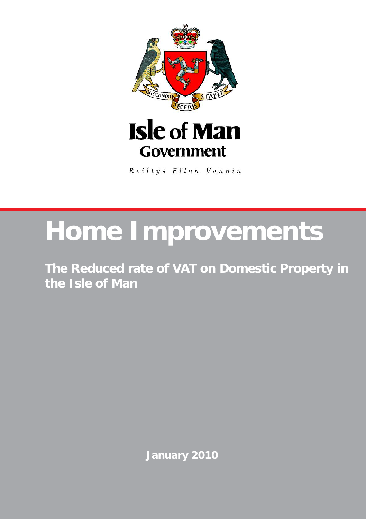

Reiltys Ellan Vannin

## **Home Improvements**

**The Reduced rate of VAT on Domestic Property in the Isle of Man**

**January 2010**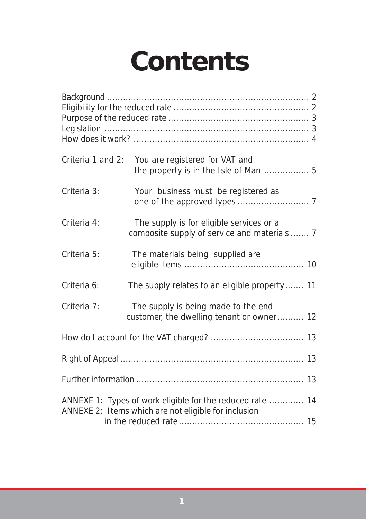# **Contents**

|             | Criteria 1 and 2: You are registered for VAT and<br>the property is in the Isle of Man  5                         |  |
|-------------|-------------------------------------------------------------------------------------------------------------------|--|
| Criteria 3: | Your business must be registered as                                                                               |  |
| Criteria 4: | The supply is for eligible services or a<br>composite supply of service and materials  7                          |  |
| Criteria 5: | The materials being supplied are                                                                                  |  |
| Criteria 6: | The supply relates to an eligible property 11                                                                     |  |
| Criteria 7: | The supply is being made to the end<br>customer, the dwelling tenant or owner 12                                  |  |
|             |                                                                                                                   |  |
|             |                                                                                                                   |  |
|             |                                                                                                                   |  |
|             | ANNEXE 1: Types of work eligible for the reduced rate  14<br>ANNEXE 2: Items which are not eligible for inclusion |  |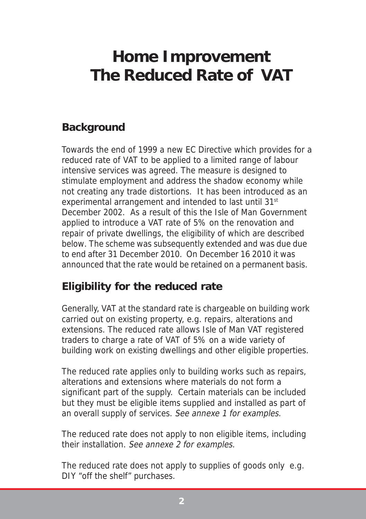## <span id="page-2-0"></span> **Home Improvement The Reduced Rate of VAT**

## **Background**

Towards the end of 1999 a new EC Directive which provides for a reduced rate of VAT to be applied to a limited range of labour intensive services was agreed. The measure is designed to stimulate employment and address the shadow economy while not creating any trade distortions. It has been introduced as an experimental arrangement and intended to last until 31<sup>st</sup> December 2002. As a result of this the Isle of Man Government applied to introduce a VAT rate of 5% on the renovation and repair of private dwellings, the eligibility of which are described below. The scheme was subsequently extended and was due due to end after 31 December 2010. On December 16 2010 it was announced that the rate would be retained on a permanent basis.

## **Eligibility for the reduced rate**

Generally, VAT at the standard rate is chargeable on building work carried out on existing property, e.g. repairs, alterations and extensions. The reduced rate allows Isle of Man VAT registered traders to charge a rate of VAT of 5% on a wide variety of building work on existing dwellings and other eligible properties.

The reduced rate applies only to building works such as repairs, alterations and extensions where materials do not form a significant part of the supply. Certain materials can be included but they must be eligible items supplied and installed as part of an overall supply of services. See annexe 1 for examples.

The reduced rate does not apply to non eligible items, including their installation. See annexe 2 for examples.

The reduced rate does not apply to supplies of goods only e.g. DIY "off the shelf" purchases.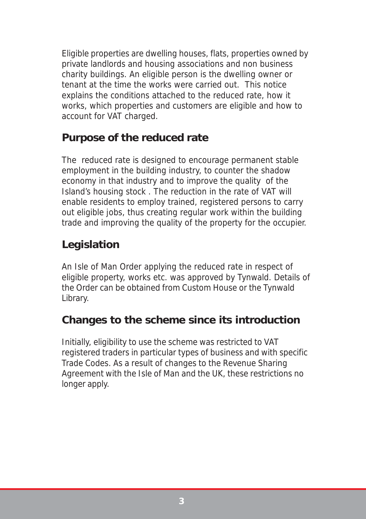<span id="page-3-0"></span>Eligible properties are dwelling houses, flats, properties owned by private landlords and housing associations and non business charity buildings. An eligible person is the dwelling owner or tenant at the time the works were carried out. This notice explains the conditions attached to the reduced rate, how it works, which properties and customers are eligible and how to account for VAT charged.

## **Purpose of the reduced rate**

The reduced rate is designed to encourage permanent stable employment in the building industry, to counter the shadow economy in that industry and to improve the quality of the Island's housing stock . The reduction in the rate of VAT will enable residents to employ trained, registered persons to carry out eligible jobs, thus creating regular work within the building trade and improving the quality of the property for the occupier.

## **Legislation**

An Isle of Man Order applying the reduced rate in respect of eligible property, works etc. was approved by Tynwald. Details of the Order can be obtained from Custom House or the Tynwald Library.

## **Changes to the scheme since its introduction**

Initially, eligibility to use the scheme was restricted to VAT registered traders in particular types of business and with specific Trade Codes. As a result of changes to the Revenue Sharing Agreement with the Isle of Man and the UK, these restrictions no longer apply.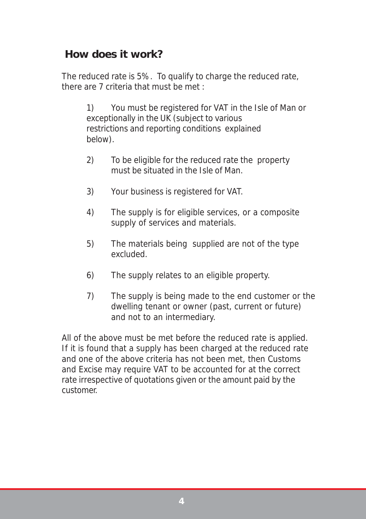## <span id="page-4-0"></span>**How does it work?**

The reduced rate is 5%. To qualify to charge the reduced rate, there are 7 criteria that must be met :

> 1) You must be registered for VAT in the Isle of Man or exceptionally in the UK (subject to various restrictions and reporting conditions explained below).

- 2) To be eligible for the reduced rate the property must be situated in the Isle of Man.
- 3) Your business is registered for VAT.
- 4) The supply is for eligible services, or a composite supply of services and materials.
- 5) The materials being supplied are not of the type excluded.
- 6) The supply relates to an eligible property.
- 7) The supply is being made to the end customer or the dwelling tenant or owner (past, current or future) and not to an intermediary.

All of the above must be met before the reduced rate is applied. If it is found that a supply has been charged at the reduced rate and one of the above criteria has not been met, then Customs and Excise may require VAT to be accounted for at the correct rate irrespective of quotations given or the amount paid by the customer.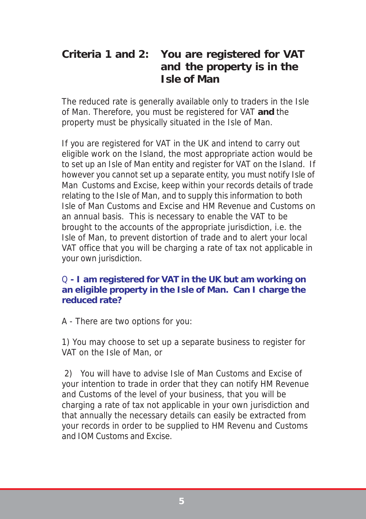## <span id="page-5-0"></span>**Criteria 1 and 2: You are registered for VAT and the property is in the Isle of Man**

The reduced rate is generally available only to traders in the Isle of Man. Therefore, you must be registered for VAT **and** the property must be physically situated in the Isle of Man.

If you are registered for VAT in the UK and intend to carry out eligible work on the Island, the most appropriate action would be to set up an Isle of Man entity and register for VAT on the Island. If however you cannot set up a separate entity, you must notify Isle of Man Customs and Excise, keep within your records details of trade relating to the Isle of Man, and to supply this information to both Isle of Man Customs and Excise and HM Revenue and Customs on an annual basis. This is necessary to enable the VAT to be brought to the accounts of the appropriate jurisdiction, i.e. the Isle of Man, to prevent distortion of trade and to alert your local VAT office that you will be charging a rate of tax not applicable in your own jurisdiction.

#### Q **- I am registered for VAT in the UK but am working on an eligible property in the Isle of Man. Can I charge the reduced rate?**

A - There are two options for you:

1) You may choose to set up a separate business to register for VAT on the Isle of Man, or

 2) You will have to advise Isle of Man Customs and Excise of your intention to trade in order that they can notify HM Revenue and Customs of the level of your business, that you will be charging a rate of tax not applicable in your own jurisdiction and that annually the necessary details can easily be extracted from your records in order to be supplied to HM Revenu and Customs and IOM Customs and Excise.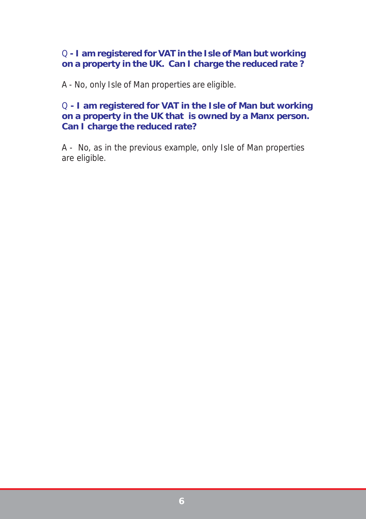#### Q **- I am registered for VAT in the Isle of Man but working on a property in the UK. Can I charge the reduced rate ?**

A - No, only Isle of Man properties are eligible.

#### Q **- I am registered for VAT in the Isle of Man but working on a property in the UK that is owned by a Manx person. Can I charge the reduced rate?**

A - No, as in the previous example, only Isle of Man properties are eligible.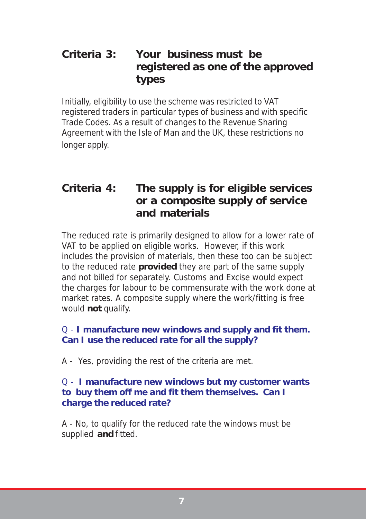## <span id="page-7-0"></span>**Criteria 3: Your business must be registered as one of the approved types**

Initially, eligibility to use the scheme was restricted to VAT registered traders in particular types of business and with specific Trade Codes. As a result of changes to the Revenue Sharing Agreement with the Isle of Man and the UK, these restrictions no longer apply.

## **Criteria 4: The supply is for eligible services or a composite supply of service and materials**

The reduced rate is primarily designed to allow for a lower rate of VAT to be applied on eligible works. However, if this work includes the provision of materials, then these too can be subject to the reduced rate **provided** they are part of the same supply and not billed for separately. Customs and Excise would expect the charges for labour to be commensurate with the work done at market rates. A composite supply where the work/fitting is free would **not** qualify.

#### Q - **I manufacture new windows and supply and fit them. Can I use the reduced rate for all the supply?**

A - Yes, providing the rest of the criteria are met.

#### Q - **I manufacture new windows but my customer wants to buy them off me and fit them themselves. Can I charge the reduced rate?**

A - No, to qualify for the reduced rate the windows must be supplied **and** fitted.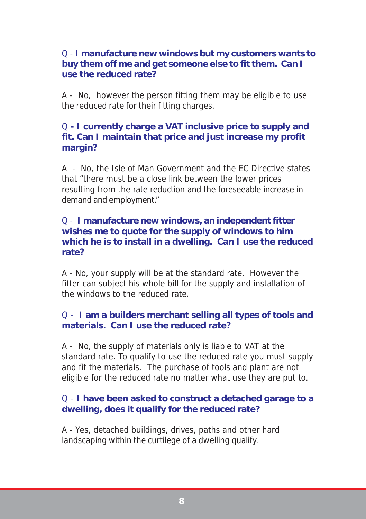#### Q - **I manufacture new windows but my customers wants to buy them off me and get someone else to fit them. Can I use the reduced rate?**

A - No, however the person fitting them may be eligible to use the reduced rate for their fitting charges.

#### Q **- I currently charge a VAT inclusive price to supply and fit. Can I maintain that price and just increase my profit margin?**

A - No, the Isle of Man Government and the EC Directive states that "there must be a close link between the lower prices resulting from the rate reduction and the foreseeable increase in demand and employment."

#### Q - **I manufacture new windows, an independent fitter wishes me to quote for the supply of windows to him which he is to install in a dwelling. Can I use the reduced rate?**

A - No, your supply will be at the standard rate. However the fitter can subject his whole bill for the supply and installation of the windows to the reduced rate.

#### Q - **I am a builders merchant selling all types of tools and materials. Can I use the reduced rate?**

A - No, the supply of materials only is liable to VAT at the standard rate. To qualify to use the reduced rate you must supply and fit the materials. The purchase of tools and plant are not eligible for the reduced rate no matter what use they are put to.

#### Q - **I have been asked to construct a detached garage to a dwelling, does it qualify for the reduced rate?**

A - Yes, detached buildings, drives, paths and other hard landscaping within the curtilege of a dwelling qualify.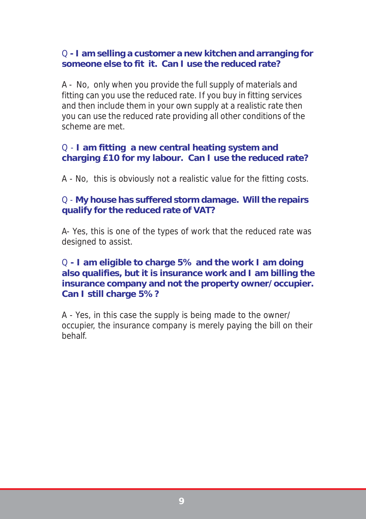#### Q **- I am selling a customer a new kitchen and arranging for someone else to fit it. Can I use the reduced rate?**

A - No, only when you provide the full supply of materials and fitting can you use the reduced rate. If you buy in fitting services and then include them in your own supply at a realistic rate then you can use the reduced rate providing all other conditions of the scheme are met.

#### Q - **I am fitting a new central heating system and charging £10 for my labour. Can I use the reduced rate?**

A - No, this is obviously not a realistic value for the fitting costs.

#### Q - **My house has suffered storm damage. Will the repairs qualify for the reduced rate of VAT?**

A- Yes, this is one of the types of work that the reduced rate was designed to assist.

#### Q **- I am eligible to charge 5% and the work I am doing also qualifies, but it is insurance work and I am billing the insurance company and not the property owner/occupier. Can I still charge 5%?**

A - Yes, in this case the supply is being made to the owner/ occupier, the insurance company is merely paying the bill on their behalf.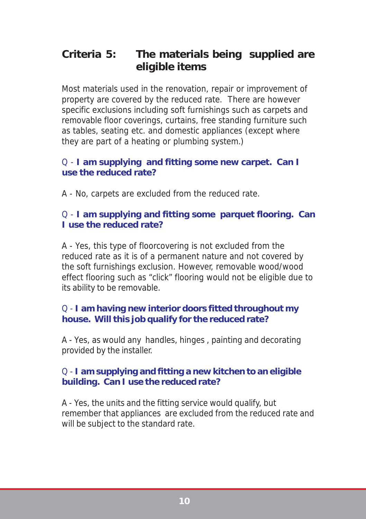## <span id="page-10-0"></span>**Criteria 5: The materials being supplied are eligible items**

Most materials used in the renovation, repair or improvement of property are covered by the reduced rate. There are however specific exclusions including soft furnishings such as carpets and removable floor coverings, curtains, free standing furniture such as tables, seating etc. and domestic appliances (except where they are part of a heating or plumbing system.)

#### Q - **I am supplying and fitting some new carpet. Can I use the reduced rate?**

A - No, carpets are excluded from the reduced rate.

#### Q - **I am supplying and fitting some parquet flooring. Can I use the reduced rate?**

A - Yes, this type of floorcovering is not excluded from the reduced rate as it is of a permanent nature and not covered by the soft furnishings exclusion. However, removable wood/wood effect flooring such as "click" flooring would not be eligible due to its ability to be removable.

#### Q - **I am having new interior doors fitted throughout my house. Will this job qualify for the reduced rate?**

A - Yes, as would any handles, hinges , painting and decorating provided by the installer.

#### Q - **I am supplying and fitting a new kitchen to an eligible building. Can I use the reduced rate?**

A - Yes, the units and the fitting service would qualify, but remember that appliances are excluded from the reduced rate and will be subject to the standard rate.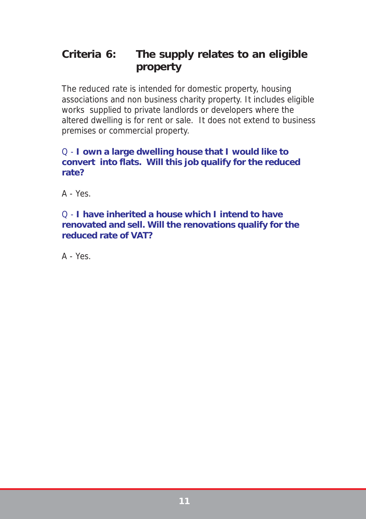## <span id="page-11-0"></span>**Criteria 6: The supply relates to an eligible property**

The reduced rate is intended for domestic property, housing associations and non business charity property. It includes eligible works supplied to private landlords or developers where the altered dwelling is for rent or sale. It does not extend to business premises or commercial property.

#### Q - **I own a large dwelling house that I would like to convert into flats. Will this job qualify for the reduced rate?**

 $A - Yes$ 

#### Q - **I have inherited a house which I intend to have renovated and sell. Will the renovations qualify for the reduced rate of VAT?**

 $A - Yes$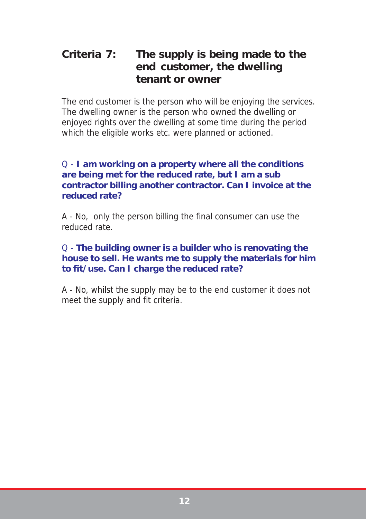## <span id="page-12-0"></span>**Criteria 7: The supply is being made to the end customer, the dwelling tenant or owner**

The end customer is the person who will be enjoying the services. The dwelling owner is the person who owned the dwelling or enjoyed rights over the dwelling at some time during the period which the eligible works etc. were planned or actioned.

#### Q - **I am working on a property where all the conditions are being met for the reduced rate, but I am a sub contractor billing another contractor. Can I invoice at the reduced rate?**

A - No, only the person billing the final consumer can use the reduced rate.

#### Q - **The building owner is a builder who is renovating the house to sell. He wants me to supply the materials for him to fit/use. Can I charge the reduced rate?**

A - No, whilst the supply may be to the end customer it does not meet the supply and fit criteria.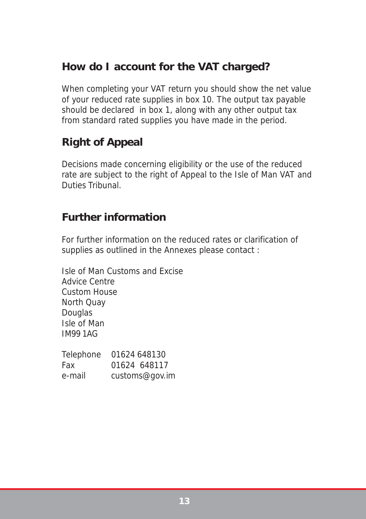## <span id="page-13-0"></span>**How do I account for the VAT charged?**

When completing your VAT return you should show the net value of your reduced rate supplies in box 10. The output tax payable should be declared in box 1, along with any other output tax from standard rated supplies you have made in the period.

## **Right of Appeal**

Decisions made concerning eligibility or the use of the reduced rate are subject to the right of Appeal to the Isle of Man VAT and Duties Tribunal.

## **Further information**

For further information on the reduced rates or clarification of supplies as outlined in the Annexes please contact :

Isle of Man Customs and Excise Advice Centre Custom House North Quay **Douglas** Isle of Man IM99 1AG

| Telephone | 01624 648130   |
|-----------|----------------|
| Fax       | 01624 648117   |
| e-mail    | customs@gov.im |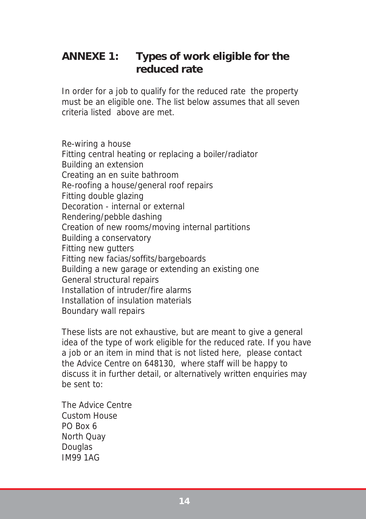## **ANNEXE 1: Types of work eligible for the reduced rate**

In order for a job to qualify for the reduced rate the property must be an eligible one. The list below assumes that all seven criteria listed above are met.

Re-wiring a house Fitting central heating or replacing a boiler/radiator Building an extension Creating an en suite bathroom Re-roofing a house/general roof repairs Fitting double glazing Decoration - internal or external Rendering/pebble dashing Creation of new rooms/moving internal partitions Building a conservatory Fitting new gutters Fitting new facias/soffits/bargeboards Building a new garage or extending an existing one General structural repairs Installation of intruder/fire alarms Installation of insulation materials Boundary wall repairs

These lists are not exhaustive, but are meant to give a general idea of the type of work eligible for the reduced rate. If you have a job or an item in mind that is not listed here, please contact the Advice Centre on 648130, where staff will be happy to discuss it in further detail, or alternatively written enquiries may be sent to:

The Advice Centre Custom House PO Box 6 North Quay **Douglas** IM99 1AG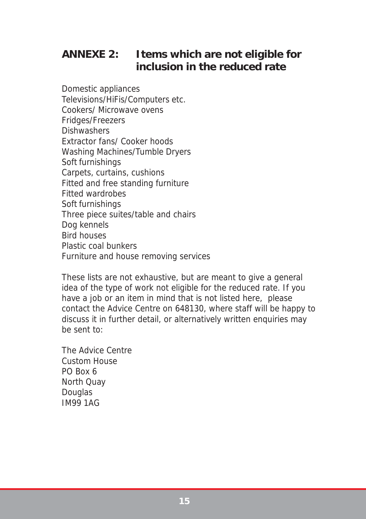## **ANNEXE 2: Items which are not eligible for inclusion in the reduced rate**

Domestic appliances Televisions/HiFis/Computers etc. Cookers/ Microwave ovens Fridges/Freezers **Dishwashers** Extractor fans/ Cooker hoods Washing Machines/Tumble Dryers Soft furnishings Carpets, curtains, cushions Fitted and free standing furniture Fitted wardrobes Soft furnishings Three piece suites/table and chairs Dog kennels Bird houses Plastic coal bunkers Furniture and house removing services

These lists are not exhaustive, but are meant to give a general idea of the type of work not eligible for the reduced rate. If you have a job or an item in mind that is not listed here, please contact the Advice Centre on 648130, where staff will be happy to discuss it in further detail, or alternatively written enquiries may be sent to:

The Advice Centre Custom House PO Box 6 North Quay **Douglas** IM99 1AG